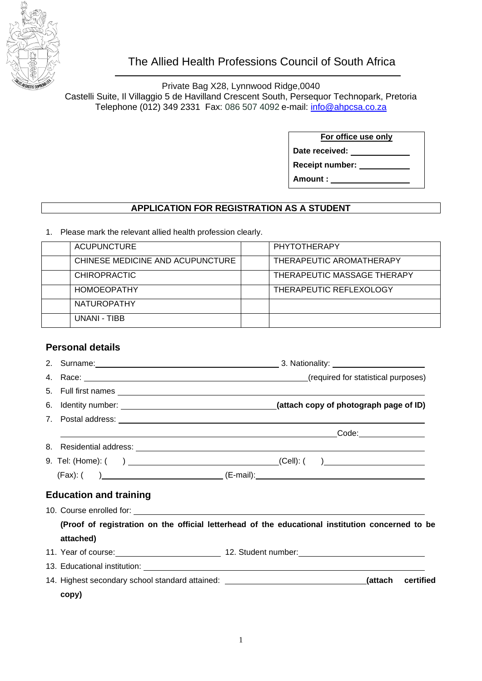

## The Allied Health Professions Council of South Africa

Private Bag X28, Lynnwood Ridge,0040 Castelli Suite, Il Villaggio 5 de Havilland Crescent South, Persequor Technopark, Pretoria Telephone (012) 349 2331 Fax: 086 507 4092 e-mail: [info@ahpcsa.co.za](mailto:info@ahpcsa.co.za)

**For office use only**

**Date received: Receipt number:** 

**Amount :** 

## **APPLICATION FOR REGISTRATION AS A STUDENT**

1. Please mark the relevant allied health profession clearly.

| ACUPUNCTURE                      | PHYTOTHERAPY                |
|----------------------------------|-----------------------------|
| CHINESE MEDICINE AND ACUPUNCTURE | THERAPEUTIC AROMATHERAPY    |
| <b>CHIROPRACTIC</b>              | THERAPEUTIC MASSAGE THERAPY |
| <b>HOMOEOPATHY</b>               | THERAPEUTIC REFLEXOLOGY     |
| <b>NATUROPATHY</b>               |                             |
| UNANI - TIBB                     |                             |

## **Personal details**

|                                                                                                  |                               | 2. Surname: 2000 Contract 2000 Contract 2000 Contract 2000 Contract 2000 Contract 2000 Contract 2000 Contract 2000 Contract 2000 Contract 2000 Contract 2000 Contract 2000 Contract 2000 Contract 2000 Contract 2000 Contract |  |  |
|--------------------------------------------------------------------------------------------------|-------------------------------|-------------------------------------------------------------------------------------------------------------------------------------------------------------------------------------------------------------------------------|--|--|
| 4.                                                                                               |                               |                                                                                                                                                                                                                               |  |  |
|                                                                                                  |                               |                                                                                                                                                                                                                               |  |  |
|                                                                                                  |                               |                                                                                                                                                                                                                               |  |  |
|                                                                                                  |                               |                                                                                                                                                                                                                               |  |  |
|                                                                                                  |                               |                                                                                                                                                                                                                               |  |  |
|                                                                                                  |                               |                                                                                                                                                                                                                               |  |  |
|                                                                                                  |                               |                                                                                                                                                                                                                               |  |  |
|                                                                                                  |                               |                                                                                                                                                                                                                               |  |  |
|                                                                                                  | <b>Education and training</b> |                                                                                                                                                                                                                               |  |  |
|                                                                                                  |                               |                                                                                                                                                                                                                               |  |  |
| (Proof of registration on the official letterhead of the educational institution concerned to be |                               |                                                                                                                                                                                                                               |  |  |
|                                                                                                  | attached)                     |                                                                                                                                                                                                                               |  |  |
|                                                                                                  |                               | 11. Year of course: 12. Student number: 12. Student number:                                                                                                                                                                   |  |  |
|                                                                                                  |                               |                                                                                                                                                                                                                               |  |  |
|                                                                                                  |                               | 14. Highest secondary school standard attained: ________________________________(attach<br>certified                                                                                                                          |  |  |
|                                                                                                  | copy)                         |                                                                                                                                                                                                                               |  |  |